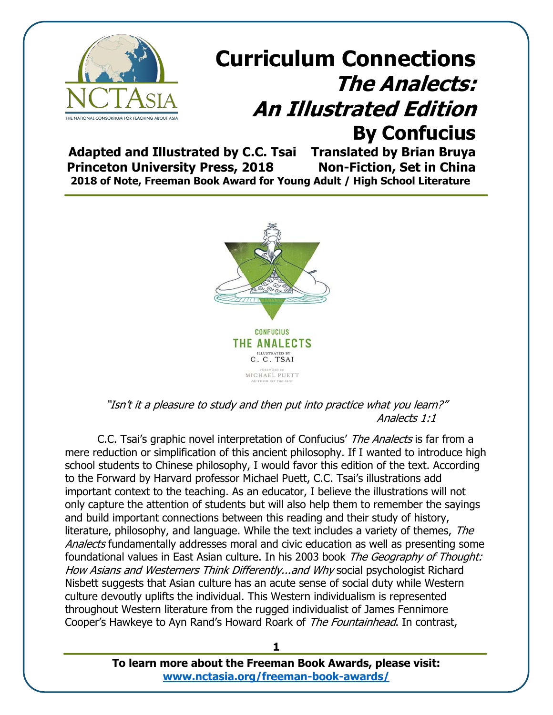

**Adapted and Illustrated by C.C. Tsai Translated by Brian Bruya Princeton University Press, 2018 Non-Fiction, Set in China 2018 of Note, Freeman Book Award for Young Adult / High School Literature**



"Isn't it a pleasure to study and then put into practice what you learn?" Analects 1:1

C.C. Tsai's graphic novel interpretation of Confucius' The Analects is far from a mere reduction or simplification of this ancient philosophy. If I wanted to introduce high school students to Chinese philosophy, I would favor this edition of the text. According to the Forward by Harvard professor Michael Puett, C.C. Tsai's illustrations add important context to the teaching. As an educator, I believe the illustrations will not only capture the attention of students but will also help them to remember the sayings and build important connections between this reading and their study of history, literature, philosophy, and language. While the text includes a variety of themes, The Analects fundamentally addresses moral and civic education as well as presenting some foundational values in East Asian culture. In his 2003 book The Geography of Thought: How Asians and Westerners Think Differently...and Why social psychologist Richard Nisbett suggests that Asian culture has an acute sense of social duty while Western culture devoutly uplifts the individual. This Western individualism is represented throughout Western literature from the rugged individualist of James Fennimore Cooper's Hawkeye to Ayn Rand's Howard Roark of The Fountainhead. In contrast,

> **To learn more about the Freeman Book Awards, please visit: [www.nctasia.org/freeman-book-awards/](https://nctasia.org/freeman-book-awards/)**

**1**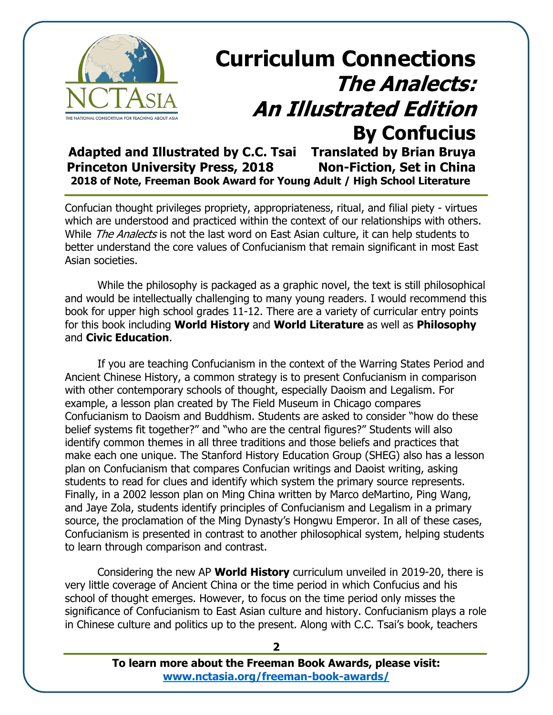

# **Curriculum Connections The Analects: An Illustrated Edition By Confucius**<br>Translated by Brian Bruya

Adapted and Illustrated by C.C. Tsai **Princeton University Press, 2018 Non-Fiction, Set in China 2018 of Note, Freeman Book Award for Young Adult / High School Literature**

Confucian thought privileges propriety, appropriateness, ritual, and filial piety - virtues which are understood and practiced within the context of our relationships with others. While *The Analects* is not the last word on East Asian culture, it can help students to better understand the core values of Confucianism that remain significant in most East Asian societies.

While the philosophy is packaged as a graphic novel, the text is still philosophical and would be intellectually challenging to many young readers. I would recommend this book for upper high school grades 11-12. There are a variety of curricular entry points for this book including **World History** and **World Literature** as well as **Philosophy**  and **Civic Education**.

If you are teaching Confucianism in the context of the Warring States Period and Ancient Chinese History, a common strategy is to present Confucianism in comparison with other contemporary schools of thought, especially Daoism and Legalism. For example, a lesson plan created by The Field Museum in Chicago compares Confucianism to Daoism and Buddhism. Students are asked to consider "how do these belief systems fit together?" and "who are the central figures?" Students will also identify common themes in all three traditions and those beliefs and practices that make each one unique. The Stanford History Education Group (SHEG) also has a lesson plan on Confucianism that compares Confucian writings and Daoist writing, asking students to read for clues and identify which system the primary source represents. Finally, in a 2002 lesson plan on Ming China written by Marco deMartino, Ping Wang, and Jaye Zola, students identify principles of Confucianism and Legalism in a primary source, the proclamation of the Ming Dynasty's Hongwu Emperor. In all of these cases, Confucianism is presented in contrast to another philosophical system, helping students to learn through comparison and contrast.

Considering the new AP **World History** curriculum unveiled in 2019-20, there is very little coverage of Ancient China or the time period in which Confucius and his school of thought emerges. However, to focus on the time period only misses the significance of Confucianism to East Asian culture and history. Confucianism plays a role in Chinese culture and politics up to the present. Along with C.C. Tsai's book, teachers

> **To learn more about the Freeman Book Awards, please visit: [www.nctasia.org/freeman-book-awards/](https://nctasia.org/freeman-book-awards/)**

**2**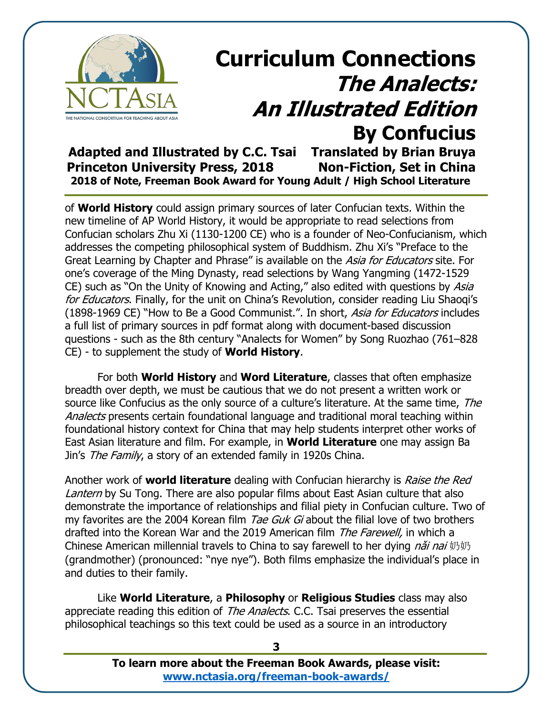

# **Curriculum Connections The Analects: An Illustrated Edition By Confucius**<br>Translated by Brian Bruya

Adapted and Illustrated by C.C. Tsai **Princeton University Press, 2018 Non-Fiction, Set in China 2018 of Note, Freeman Book Award for Young Adult / High School Literature**

of **World History** could assign primary sources of later Confucian texts. Within the new timeline of AP World History, it would be appropriate to read selections from Confucian scholars Zhu Xi (1130-1200 CE) who is a founder of Neo-Confucianism, which addresses the competing philosophical system of Buddhism. Zhu Xi's "Preface to the Great Learning by Chapter and Phrase" is available on the Asia for Educators site. For one's coverage of the Ming Dynasty, read selections by Wang Yangming (1472-1529 CE) such as "On the Unity of Knowing and Acting," also edited with questions by Asia for Educators. Finally, for the unit on China's Revolution, consider reading Liu Shaogi's (1898-1969 CE) "How to Be a Good Communist.". In short, Asia for Educators includes a full list of primary sources in pdf format along with document-based discussion questions - such as the 8th century "Analects for Women" by Song Ruozhao (761–828 CE) - to supplement the study of **World History**.

For both **World History** and **Word Literature**, classes that often emphasize breadth over depth, we must be cautious that we do not present a written work or source like Confucius as the only source of a culture's literature. At the same time, The Analects presents certain foundational language and traditional moral teaching within foundational history context for China that may help students interpret other works of East Asian literature and film. For example, in **World Literature** one may assign Ba Jin's The Family, a story of an extended family in 1920s China.

Another work of **world literature** dealing with Confucian hierarchy is Raise the Red Lantern by Su Tong. There are also popular films about East Asian culture that also demonstrate the importance of relationships and filial piety in Confucian culture. Two of my favorites are the 2004 Korean film Tae Guk Gi about the filial love of two brothers drafted into the Korean War and the 2019 American film *The Farewell*, in which a Chinese American millennial travels to China to say farewell to her dying *nai mai*  $\text{mJy}$ (grandmother) (pronounced: "nye nye"). Both films emphasize the individual's place in and duties to their family.

Like **World Literature**, a **Philosophy** or **Religious Studies** class may also appreciate reading this edition of *The Analects*. C.C. Tsai preserves the essential philosophical teachings so this text could be used as a source in an introductory

> **To learn more about the Freeman Book Awards, please visit: [www.nctasia.org/freeman-book-awards/](https://nctasia.org/freeman-book-awards/)**

**3**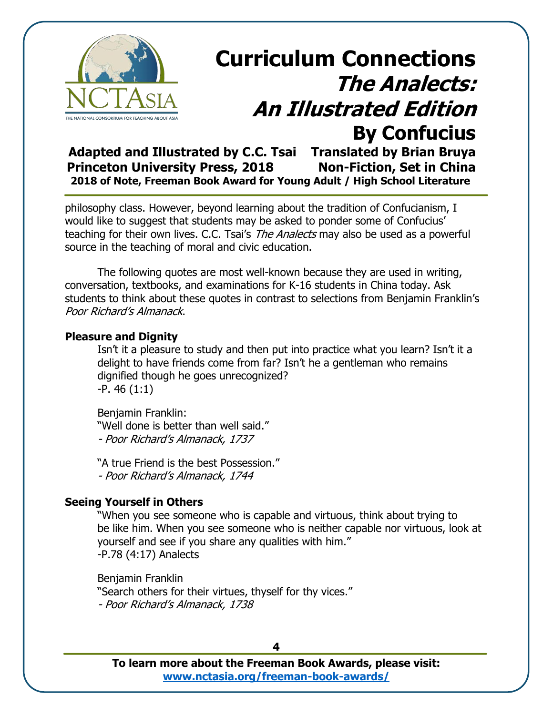

**Adapted and Illustrated by C.C. Tsai Translated by Brian Bruya Princeton University Press, 2018 Non-Fiction, Set in China 2018 of Note, Freeman Book Award for Young Adult / High School Literature**

philosophy class. However, beyond learning about the tradition of Confucianism, I would like to suggest that students may be asked to ponder some of Confucius' teaching for their own lives. C.C. Tsai's *The Analects* may also be used as a powerful source in the teaching of moral and civic education.

The following quotes are most well-known because they are used in writing, conversation, textbooks, and examinations for K-16 students in China today. Ask students to think about these quotes in contrast to selections from Benjamin Franklin's Poor Richard's Almanack.

#### **Pleasure and Dignity**

Isn't it a pleasure to study and then put into practice what you learn? Isn't it a delight to have friends come from far? Isn't he a gentleman who remains dignified though he goes unrecognized? -P. 46 (1:1)

Benjamin Franklin: "Well done is better than well said." - Poor Richard's Almanack, 1737

"A true Friend is the best Possession." - Poor Richard's Almanack, 1744

### **Seeing Yourself in Others**

"When you see someone who is capable and virtuous, think about trying to be like him. When you see someone who is neither capable nor virtuous, look at yourself and see if you share any qualities with him." -P.78 (4:17) Analects

Benjamin Franklin "Search others for their virtues, thyself for thy vices." - Poor Richard's Almanack, 1738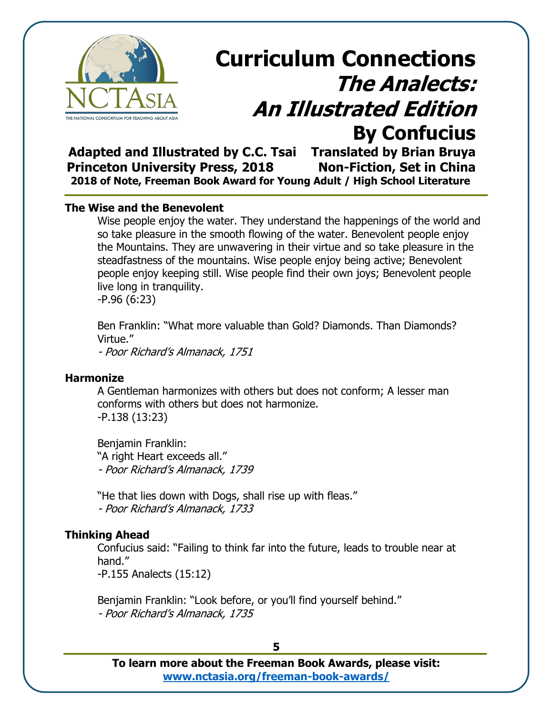

**Adapted and Illustrated by C.C. Tsai Translated by Brian Bruya Princeton University Press, 2018 Non-Fiction, Set in China 2018 of Note, Freeman Book Award for Young Adult / High School Literature**

#### **The Wise and the Benevolent**

Wise people enjoy the water. They understand the happenings of the world and so take pleasure in the smooth flowing of the water. Benevolent people enjoy the Mountains. They are unwavering in their virtue and so take pleasure in the steadfastness of the mountains. Wise people enjoy being active; Benevolent people enjoy keeping still. Wise people find their own joys; Benevolent people live long in tranquility.

-P.96 (6:23)

Ben Franklin: "What more valuable than Gold? Diamonds. Than Diamonds? Virtue."

- Poor Richard's Almanack, 1751

#### **Harmonize**

A Gentleman harmonizes with others but does not conform; A lesser man conforms with others but does not harmonize. -P.138 (13:23)

Benjamin Franklin: "A right Heart exceeds all." - Poor Richard's Almanack, 1739

"He that lies down with Dogs, shall rise up with fleas." - Poor Richard's Almanack, 1733

#### **Thinking Ahead**

Confucius said: "Failing to think far into the future, leads to trouble near at hand."

-P.155 Analects (15:12)

Benjamin Franklin: "Look before, or you'll find yourself behind." - Poor Richard's Almanack, 1735

**5**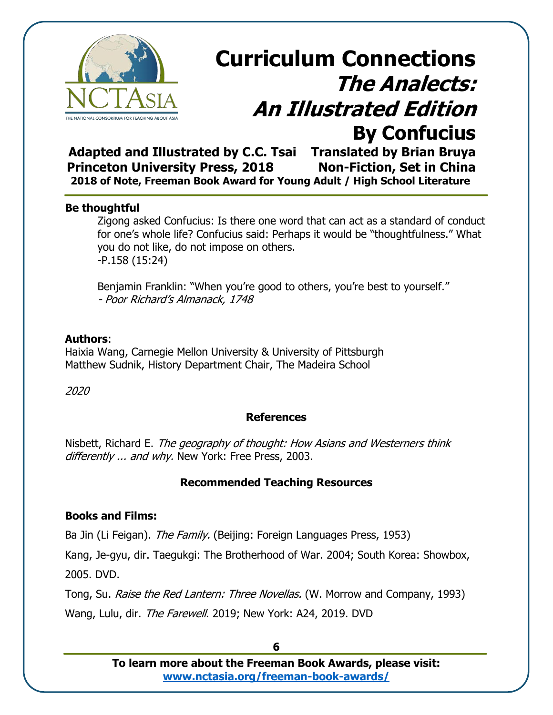

**Adapted and Illustrated by C.C. Tsai Translated by Brian Bruya Princeton University Press, 2018 Non-Fiction, Set in China 2018 of Note, Freeman Book Award for Young Adult / High School Literature**

#### **Be thoughtful**

Zigong asked Confucius: Is there one word that can act as a standard of conduct for one's whole life? Confucius said: Perhaps it would be "thoughtfulness." What you do not like, do not impose on others. -P.158 (15:24)

Benjamin Franklin: "When you're good to others, you're best to yourself." - Poor Richard's Almanack, 1748

### **Authors**:

Haixia Wang, Carnegie Mellon University & University of Pittsburgh Matthew Sudnik, History Department Chair, The Madeira School

2020

### **References**

Nisbett, Richard E. The geography of thought: How Asians and Westerners think differently ... and why. New York: Free Press, 2003.

### **Recommended Teaching Resources**

### **Books and Films:**

Ba Jin (Li Feigan). The Family. (Beijing: Foreign Languages Press, 1953)

Kang, Je-gyu, dir. Taegukgi: The Brotherhood of War. 2004; South Korea: Showbox, 2005. DVD.

Tong, Su. Raise the Red Lantern: Three Novellas. (W. Morrow and Company, 1993) Wang, Lulu, dir. The Farewell. 2019; New York: A24, 2019. DVD